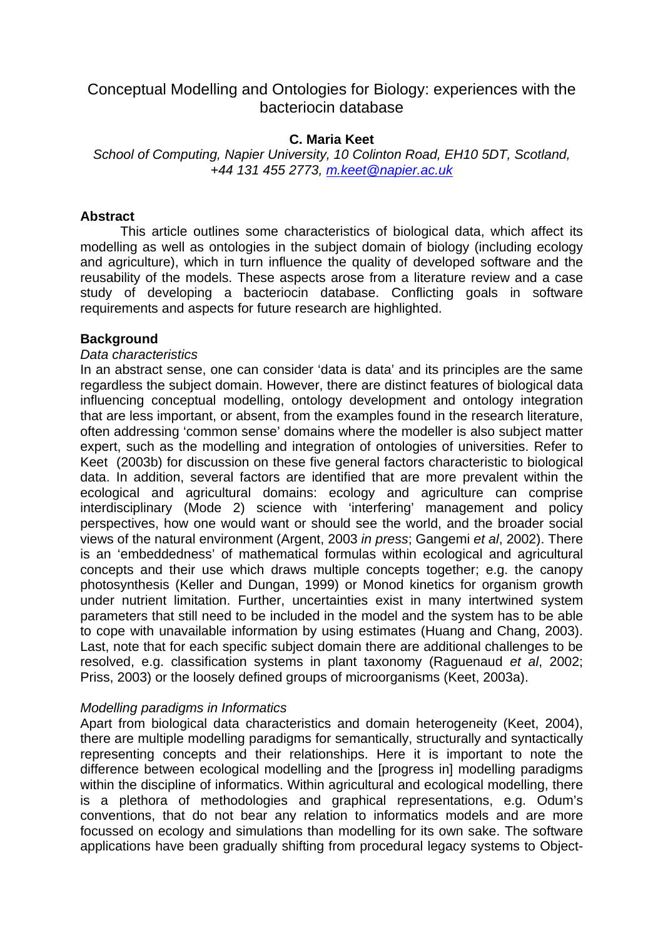# Conceptual Modelling and Ontologies for Biology: experiences with the bacteriocin database

## **C. Maria Keet**

*School of Computing, Napier University, 10 Colinton Road, EH10 5DT, Scotland, +44 131 455 2773, [m.keet@napier.ac.uk](mailto:m.keet@napier.ac.uk)*

### **Abstract**

This article outlines some characteristics of biological data, which affect its modelling as well as ontologies in the subject domain of biology (including ecology and agriculture), which in turn influence the quality of developed software and the reusability of the models. These aspects arose from a literature review and a case study of developing a bacteriocin database. Conflicting goals in software requirements and aspects for future research are highlighted.

#### **Background**

#### *Data characteristics*

In an abstract sense, one can consider 'data is data' and its principles are the same regardless the subject domain. However, there are distinct features of biological data influencing conceptual modelling, ontology development and ontology integration that are less important, or absent, from the examples found in the research literature, often addressing 'common sense' domains where the modeller is also subject matter expert, such as the modelling and integration of ontologies of universities. Refer to Keet (2003b) for discussion on these five general factors characteristic to biological data. In addition, several factors are identified that are more prevalent within the ecological and agricultural domains: ecology and agriculture can comprise interdisciplinary (Mode 2) science with 'interfering' management and policy perspectives, how one would want or should see the world, and the broader social views of the natural environment (Argent, 2003 *in press*; Gangemi *et al*, 2002). There is an 'embeddedness' of mathematical formulas within ecological and agricultural concepts and their use which draws multiple concepts together; e.g. the canopy photosynthesis (Keller and Dungan, 1999) or Monod kinetics for organism growth under nutrient limitation. Further, uncertainties exist in many intertwined system parameters that still need to be included in the model and the system has to be able to cope with unavailable information by using estimates (Huang and Chang, 2003). Last, note that for each specific subject domain there are additional challenges to be resolved, e.g. classification systems in plant taxonomy (Raguenaud *et al*, 2002; Priss, 2003) or the loosely defined groups of microorganisms (Keet, 2003a).

#### *Modelling paradigms in Informatics*

Apart from biological data characteristics and domain heterogeneity (Keet, 2004), there are multiple modelling paradigms for semantically, structurally and syntactically representing concepts and their relationships. Here it is important to note the difference between ecological modelling and the [progress in] modelling paradigms within the discipline of informatics. Within agricultural and ecological modelling, there is a plethora of methodologies and graphical representations, e.g. Odum's conventions, that do not bear any relation to informatics models and are more focussed on ecology and simulations than modelling for its own sake. The software applications have been gradually shifting from procedural legacy systems to Object-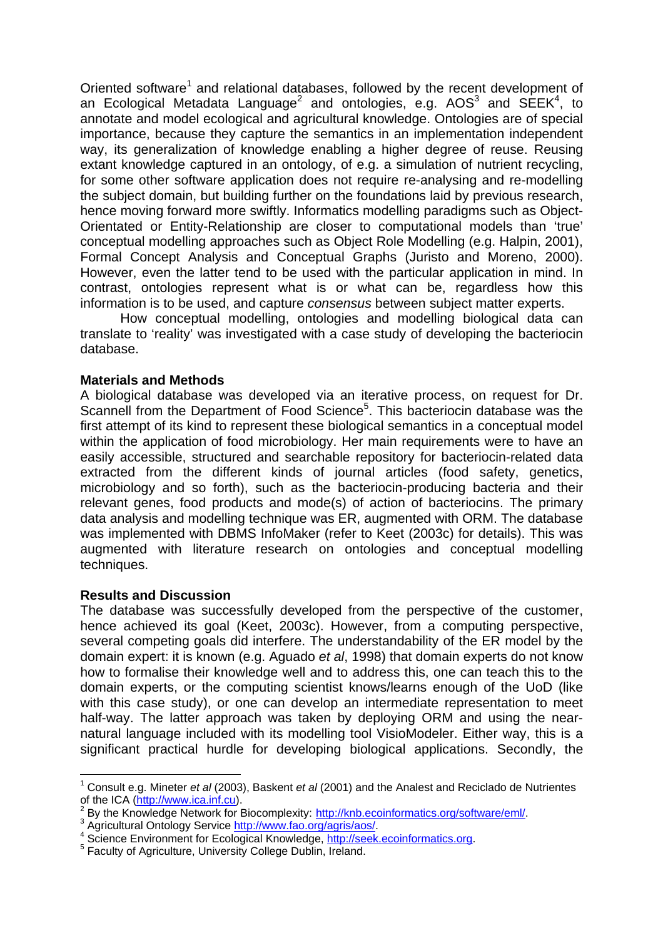Oriented software<sup>[1](#page-1-0)</sup> and relational databases, followed by the recent development of an Ecological Metadata Language<sup>[2](#page-1-1)</sup>and ontologies, e.g. AOS<sup>3</sup> and SEEK<sup>[4](#page-1-3)</sup>, to annotate and model ecological and agricultural knowledge. Ontologies are of special importance, because they capture the semantics in an implementation independent way, its generalization of knowledge enabling a higher degree of reuse. Reusing extant knowledge captured in an ontology, of e.g. a simulation of nutrient recycling, for some other software application does not require re-analysing and re-modelling the subject domain, but building further on the foundations laid by previous research, hence moving forward more swiftly. Informatics modelling paradigms such as Object-Orientated or Entity-Relationship are closer to computational models than 'true' conceptual modelling approaches such as Object Role Modelling (e.g. Halpin, 2001), Formal Concept Analysis and Conceptual Graphs (Juristo and Moreno, 2000). However, even the latter tend to be used with the particular application in mind. In contrast, ontologies represent what is or what can be, regardless how this information is to be used, and capture *consensus* between subject matter experts.

How conceptual modelling, ontologies and modelling biological data can translate to 'reality' was investigated with a case study of developing the bacteriocin database.

#### **Materials and Methods**

A biological database was developed via an iterative process, on request for Dr. Scannell from the Department of Food Science<sup>[5](#page-1-4)</sup>. This bacteriocin database was the first attempt of its kind to represent these biological semantics in a conceptual model within the application of food microbiology. Her main requirements were to have an easily accessible, structured and searchable repository for bacteriocin-related data extracted from the different kinds of journal articles (food safety, genetics, microbiology and so forth), such as the bacteriocin-producing bacteria and their relevant genes, food products and mode(s) of action of bacteriocins. The primary data analysis and modelling technique was ER, augmented with ORM. The database was implemented with DBMS InfoMaker (refer to Keet (2003c) for details). This was augmented with literature research on ontologies and conceptual modelling techniques.

#### **Results and Discussion**

 $\overline{a}$ 

The database was successfully developed from the perspective of the customer, hence achieved its goal (Keet, 2003c). However, from a computing perspective, several competing goals did interfere. The understandability of the ER model by the domain expert: it is known (e.g. Aguado *et al*, 1998) that domain experts do not know how to formalise their knowledge well and to address this, one can teach this to the domain experts, or the computing scientist knows/learns enough of the UoD (like with this case study), or one can develop an intermediate representation to meet half-way. The latter approach was taken by deploving ORM and using the nearnatural language included with its modelling tool VisioModeler. Either way, this is a significant practical hurdle for developing biological applications. Secondly, the

<span id="page-1-0"></span><sup>1</sup> Consult e.g. Mineter *et al* (2003), Baskent *et al* (2001) and the Analest and Reciclado de Nutrientes of the ICA ([http://www.ica.inf.cu\)](http://www.ica.inf.cu/). 2

<span id="page-1-1"></span>By the Knowledge Network for Biocomplexity: <http://knb.ecoinformatics.org/software/eml/>.

<span id="page-1-2"></span><sup>3</sup> Agricultural Ontology Service [http://www.fao.org/agris/aos/.](http://www.fao.org/agris/aos/)

<span id="page-1-3"></span><sup>&</sup>lt;sup>4</sup> Science Environment for Ecological Knowledge, [http://seek.ecoinformatics.org](http://seek.ecoinformatics.org/).

<span id="page-1-4"></span><sup>&</sup>lt;sup>5</sup> Faculty of Agriculture, University College Dublin, Ireland.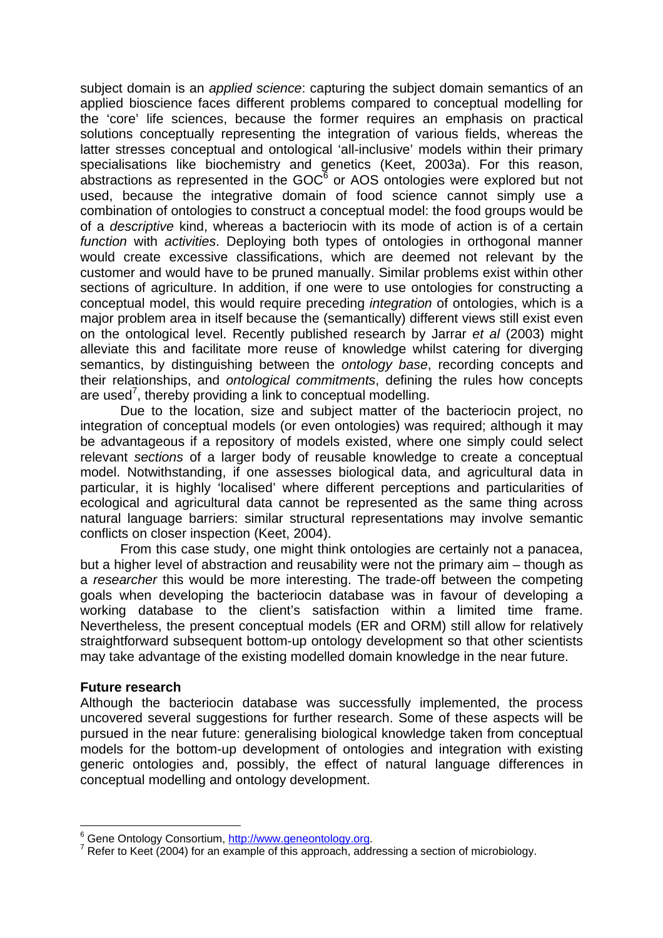subject domain is an *applied science*: capturing the subject domain semantics of an applied bioscience faces different problems compared to conceptual modelling for the 'core' life sciences, because the former requires an emphasis on practical solutions conceptually representing the integration of various fields, whereas the latter stresses conceptual and ontological 'all-inclusive' models within their primary specialisations like biochemistry and genetics (Keet, 2003a). For this reason, abstractions as represented in the  $\text{GOC}^6$  or AOS ontologies were explored but not used, because the integrative domain of food science cannot simply use a combination of ontologies to construct a conceptual model: the food groups would be of a *descriptive* kind, whereas a bacteriocin with its mode of action is of a certain *function* with *activities*. Deploying both types of ontologies in orthogonal manner would create excessive classifications, which are deemed not relevant by the customer and would have to be pruned manually. Similar problems exist within other sections of agriculture. In addition, if one were to use ontologies for constructing a conceptual model, this would require preceding *integration* of ontologies, which is a major problem area in itself because the (semantically) different views still exist even on the ontological level. Recently published research by Jarrar *et al* (2003) might alleviate this and facilitate more reuse of knowledge whilst catering for diverging semantics, by distinguishing between the *ontology base*, recording concepts and their relationships, and *ontological commitments*, defining the rules how concepts are used<sup>[7](#page-2-1)</sup>, thereby providing a link to conceptual modelling.

Due to the location, size and subject matter of the bacteriocin project, no integration of conceptual models (or even ontologies) was required; although it may be advantageous if a repository of models existed, where one simply could select relevant *sections* of a larger body of reusable knowledge to create a conceptual model. Notwithstanding, if one assesses biological data, and agricultural data in particular, it is highly 'localised' where different perceptions and particularities of ecological and agricultural data cannot be represented as the same thing across natural language barriers: similar structural representations may involve semantic conflicts on closer inspection (Keet, 2004).

From this case study, one might think ontologies are certainly not a panacea, but a higher level of abstraction and reusability were not the primary aim – though as a *researcher* this would be more interesting. The trade-off between the competing goals when developing the bacteriocin database was in favour of developing a working database to the client's satisfaction within a limited time frame. Nevertheless, the present conceptual models (ER and ORM) still allow for relatively straightforward subsequent bottom-up ontology development so that other scientists may take advantage of the existing modelled domain knowledge in the near future.

#### **Future research**

 $\overline{a}$ 

Although the bacteriocin database was successfully implemented, the process uncovered several suggestions for further research. Some of these aspects will be pursued in the near future: generalising biological knowledge taken from conceptual models for the bottom-up development of ontologies and integration with existing generic ontologies and, possibly, the effect of natural language differences in conceptual modelling and ontology development.

<span id="page-2-0"></span><sup>&</sup>lt;sup>6</sup> Gene Ontology Consortium, <u>http://www.geneontology.org</u>.<br><sup>7</sup> Refer to Keet (2004) for an example of this enarroash addit

<span id="page-2-1"></span><sup>&</sup>lt;sup>7</sup> Refer to Keet (2004) for an example of this approach, addressing a section of microbiology.